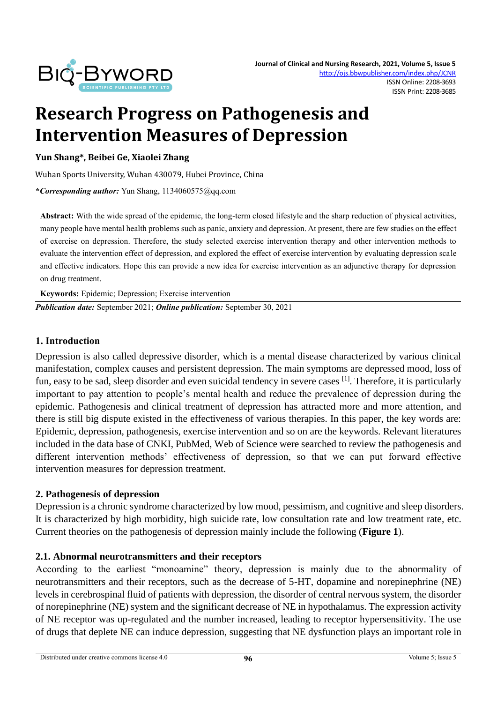

# **Research Progress on Pathogenesis and Intervention Measures of Depression**

**Yun Shang\*, Beibei Ge, Xiaolei Zhang**

Wuhan Sports University, Wuhan 430079, Hubei Province, China

**\****Corresponding author:* Yun Shang, 1134060575@qq.com

**Abstract:** With the wide spread of the epidemic, the long-term closed lifestyle and the sharp reduction of physical activities, many people have mental health problems such as panic, anxiety and depression. At present, there are few studies on the effect of exercise on depression. Therefore, the study selected exercise intervention therapy and other intervention methods to evaluate the intervention effect of depression, and explored the effect of exercise intervention by evaluating depression scale and effective indicators. Hope this can provide a new idea for exercise intervention as an adjunctive therapy for depression on drug treatment.

**Keywords:** Epidemic; Depression; Exercise intervention

*Publication date:* September 2021; *Online publication:* September 30, 2021

#### **1. Introduction**

Depression is also called depressive disorder, which is a mental disease characterized by various clinical manifestation, complex causes and persistent depression. The main symptoms are depressed mood, loss of fun, easy to be sad, sleep disorder and even suicidal tendency in severe cases [1]. Therefore, it is particularly important to pay attention to people's mental health and reduce the prevalence of depression during the epidemic. Pathogenesis and clinical treatment of depression has attracted more and more attention, and there is still big dispute existed in the effectiveness of various therapies. In this paper, the key words are: Epidemic, depression, pathogenesis, exercise intervention and so on are the keywords. Relevant literatures included in the data base of CNKI, PubMed, Web of Science were searched to review the pathogenesis and different intervention methods' effectiveness of depression, so that we can put forward effective intervention measures for depression treatment.

#### **2. Pathogenesis of depression**

Depression is a chronic syndrome characterized by low mood, pessimism, and cognitive and sleep disorders. It is characterized by high morbidity, high suicide rate, low consultation rate and low treatment rate, etc. Current theories on the pathogenesis of depression mainly include the following (**Figure 1**).

#### **2.1. Abnormal neurotransmitters and their receptors**

According to the earliest "monoamine" theory, depression is mainly due to the abnormality of neurotransmitters and their receptors, such as the decrease of 5-HT, dopamine and norepinephrine (NE) levels in cerebrospinal fluid of patients with depression, the disorder of central nervous system, the disorder of norepinephrine (NE) system and the significant decrease of NE in hypothalamus. The expression activity of NE receptor was up-regulated and the number increased, leading to receptor hypersensitivity. The use of drugs that deplete NE can induce depression, suggesting that NE dysfunction plays an important role in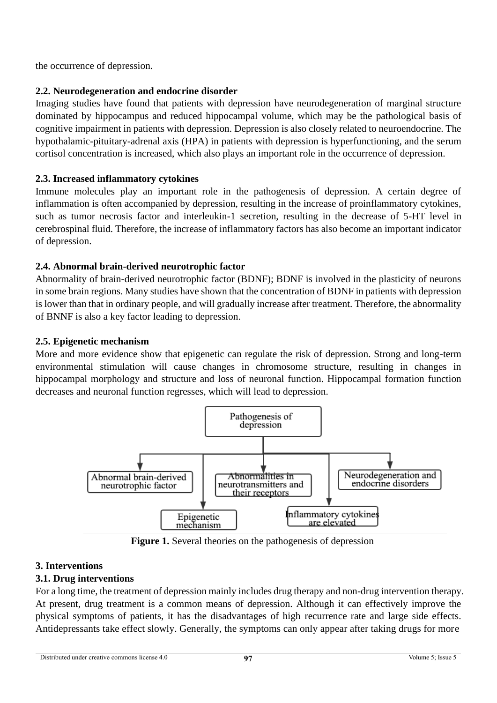the occurrence of depression.

# **2.2. Neurodegeneration and endocrine disorder**

Imaging studies have found that patients with depression have neurodegeneration of marginal structure dominated by hippocampus and reduced hippocampal volume, which may be the pathological basis of cognitive impairment in patients with depression. Depression is also closely related to neuroendocrine. The hypothalamic-pituitary-adrenal axis (HPA) in patients with depression is hyperfunctioning, and the serum cortisol concentration is increased, which also plays an important role in the occurrence of depression.

# **2.3. Increased inflammatory cytokines**

Immune molecules play an important role in the pathogenesis of depression. A certain degree of inflammation is often accompanied by depression, resulting in the increase of proinflammatory cytokines, such as tumor necrosis factor and interleukin-1 secretion, resulting in the decrease of 5-HT level in cerebrospinal fluid. Therefore, the increase of inflammatory factors has also become an important indicator of depression.

# **2.4. Abnormal brain-derived neurotrophic factor**

Abnormality of brain-derived neurotrophic factor (BDNF); BDNF is involved in the plasticity of neurons in some brain regions. Many studies have shown that the concentration of BDNF in patients with depression is lower than that in ordinary people, and will gradually increase after treatment. Therefore, the abnormality of BNNF is also a key factor leading to depression.

# **2.5. Epigenetic mechanism**

More and more evidence show that epigenetic can regulate the risk of depression. Strong and long-term environmental stimulation will cause changes in chromosome structure, resulting in changes in hippocampal morphology and structure and loss of neuronal function. Hippocampal formation function decreases and neuronal function regresses, which will lead to depression.



 **Figure 1.** Several theories on the pathogenesis of depression

### **3. Interventions**

### **3.1. Drug interventions**

For a long time, the treatment of depression mainly includes drug therapy and non-drug intervention therapy. At present, drug treatment is a common means of depression. Although it can effectively improve the physical symptoms of patients, it has the disadvantages of high recurrence rate and large side effects. Antidepressants take effect slowly. Generally, the symptoms can only appear after taking drugs for more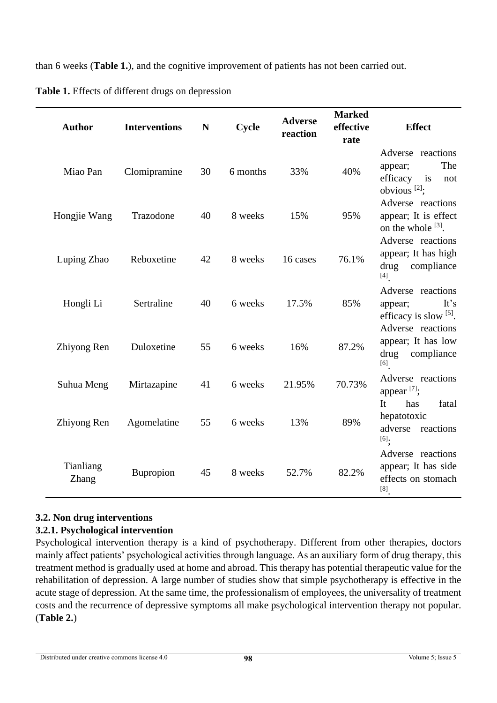than 6 weeks (**Table 1.**), and the cognitive improvement of patients has not been carried out.

| <b>Author</b>      | <b>Interventions</b> | N  | Cycle    | <b>Adverse</b><br>reaction | <b>Marked</b><br>effective<br>rate | <b>Effect</b>                                                                         |
|--------------------|----------------------|----|----------|----------------------------|------------------------------------|---------------------------------------------------------------------------------------|
| Miao Pan           | Clomipramine         | 30 | 6 months | 33%                        | 40%                                | Adverse reactions<br>The<br>appear;<br>efficacy is<br>not<br>obvious $[2]$ ;          |
| Hongjie Wang       | Trazodone            | 40 | 8 weeks  | 15%                        | 95%                                | Adverse reactions<br>appear; It is effect<br>on the whole $^{[3]}$ .                  |
| Luping Zhao        | Reboxetine           | 42 | 8 weeks  | 16 cases                   | 76.1%                              | Adverse reactions<br>appear; It has high<br>drug<br>compliance<br>$[4]$               |
| Hongli Li          | Sertraline           | 40 | 6 weeks  | 17.5%                      | 85%                                | Adverse reactions<br>It's<br>appear;<br>efficacy is slow $[5]$ .<br>Adverse reactions |
| Zhiyong Ren        | Duloxetine           | 55 | 6 weeks  | 16%                        | 87.2%                              | appear; It has low<br>drug<br>compliance<br>$[6]$                                     |
| Suhua Meng         | Mirtazapine          | 41 | 6 weeks  | 21.95%                     | 70.73%                             | Adverse reactions<br>appear <sup>[7]</sup> ;                                          |
| Zhiyong Ren        | Agomelatine          | 55 | 6 weeks  | 13%                        | 89%                                | has<br>fatal<br>It<br>hepatotoxic<br>adverse<br>reactions<br>[6]                      |
| Tianliang<br>Zhang | Bupropion            | 45 | 8 weeks  | 52.7%                      | 82.2%                              | Adverse reactions<br>appear; It has side<br>effects on stomach<br>$\left[ 8\right]$   |

**Table 1.** Effects of different drugs on depression

# **3.2. Non drug interventions**

# **3.2.1. Psychological intervention**

Psychological intervention therapy is a kind of psychotherapy. Different from other therapies, doctors mainly affect patients' psychological activities through language. As an auxiliary form of drug therapy, this treatment method is gradually used at home and abroad. This therapy has potential therapeutic value for the rehabilitation of depression. A large number of studies show that simple psychotherapy is effective in the acute stage of depression. At the same time, the professionalism of employees, the universality of treatment costs and the recurrence of depressive symptoms all make psychological intervention therapy not popular. (**Table 2.**)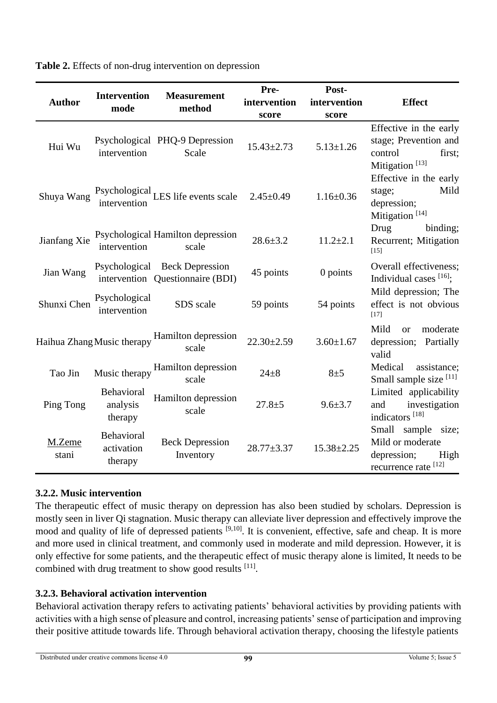|                 | <b>Intervention</b>                 | <b>Measurement</b>                                                | Pre-<br>Post-    |                  |                                                                                                    |  |
|-----------------|-------------------------------------|-------------------------------------------------------------------|------------------|------------------|----------------------------------------------------------------------------------------------------|--|
| <b>Author</b>   | mode                                | method                                                            | intervention     | intervention     | <b>Effect</b>                                                                                      |  |
|                 |                                     |                                                                   | score            | score            |                                                                                                    |  |
| Hui Wu          | intervention                        | Psychological PHQ-9 Depression<br>Scale                           | $15.43 \pm 2.73$ | $5.13 \pm 1.26$  | Effective in the early<br>stage; Prevention and<br>control<br>first;<br>Mitigation <sup>[13]</sup> |  |
| Shuya Wang      | intervention                        | Psychological LES life events scale                               | $2.45 \pm 0.49$  | $1.16 \pm 0.36$  | Effective in the early<br>Mild<br>stage;<br>depression;<br>Mitigation <sup>[14]</sup>              |  |
| Jianfang Xie    | intervention                        | Psychological Hamilton depression<br>scale                        | $28.6 \pm 3.2$   | $11.2 \pm 2.1$   | Drug<br>binding;<br>Recurrent; Mitigation<br>$[15]$                                                |  |
| Jian Wang       |                                     | Psychological Beck Depression<br>intervention Questionnaire (BDI) | 45 points        | 0 points         | Overall effectiveness;<br>Individual cases $[16]$ ;                                                |  |
| Shunxi Chen     | Psychological<br>intervention       | SDS scale                                                         | 59 points        | 54 points        | Mild depression; The<br>effect is not obvious<br>[17]                                              |  |
|                 | Haihua Zhang Music therapy          | Hamilton depression<br>scale                                      | $22.30 \pm 2.59$ | $3.60 \pm 1.67$  | Mild<br>moderate<br>$\alpha$<br>depression; Partially<br>valid                                     |  |
| Tao Jin         | Music therapy                       | Hamilton depression<br>scale                                      | $24 + 8$         | $8\pm5$          | Medical<br>assistance;<br>Small sample size [11]                                                   |  |
| Ping Tong       | Behavioral<br>analysis<br>therapy   | Hamilton depression<br>scale                                      | $27.8 + 5$       | $9.6 \pm 3.7$    | Limited applicability<br>investigation<br>and<br>indicators <sup>[18]</sup>                        |  |
| M.Zeme<br>stani | Behavioral<br>activation<br>therapy | <b>Beck Depression</b><br>Inventory                               | $28.77 + 3.37$   | $15.38 \pm 2.25$ | Small<br>sample size;<br>Mild or moderate<br>depression;<br>High<br>recurrence rate [12]           |  |

**Table 2.** Effects of non-drug intervention on depression

### **3.2.2. Music intervention**

The therapeutic effect of music therapy on depression has also been studied by scholars. Depression is mostly seen in liver Qi stagnation. Music therapy can alleviate liver depression and effectively improve the mood and quality of life of depressed patients [9,10]. It is convenient, effective, safe and cheap. It is more and more used in clinical treatment, and commonly used in moderate and mild depression. However, it is only effective for some patients, and the therapeutic effect of music therapy alone is limited, It needs to be combined with drug treatment to show good results [11].

### **3.2.3. Behavioral activation intervention**

Behavioral activation therapy refers to activating patients' behavioral activities by providing patients with activities with a high sense of pleasure and control, increasing patients' sense of participation and improving their positive attitude towards life. Through behavioral activation therapy, choosing the lifestyle patients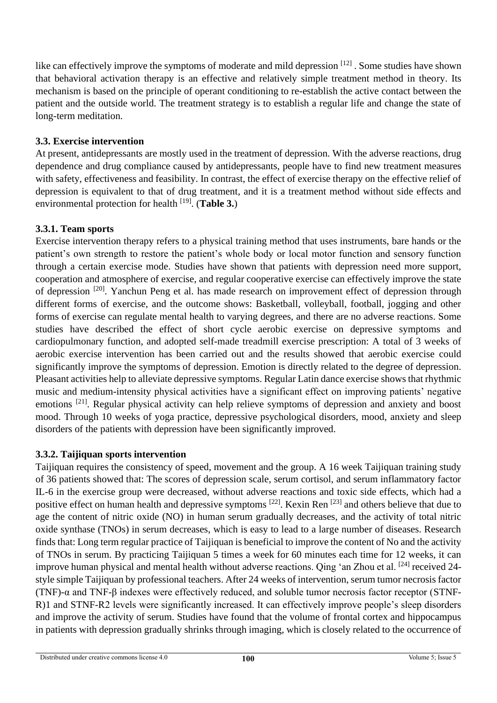like can effectively improve the symptoms of moderate and mild depression [12]. Some studies have shown that behavioral activation therapy is an effective and relatively simple treatment method in theory. Its mechanism is based on the principle of operant conditioning to re-establish the active contact between the patient and the outside world. The treatment strategy is to establish a regular life and change the state of long-term meditation.

# **3.3. Exercise intervention**

At present, antidepressants are mostly used in the treatment of depression. With the adverse reactions, drug dependence and drug compliance caused by antidepressants, people have to find new treatment measures with safety, effectiveness and feasibility. In contrast, the effect of exercise therapy on the effective relief of depression is equivalent to that of drug treatment, and it is a treatment method without side effects and environmental protection for health [19] . (**Table 3.**)

# **3.3.1. Team sports**

Exercise intervention therapy refers to a physical training method that uses instruments, bare hands or the patient's own strength to restore the patient's whole body or local motor function and sensory function through a certain exercise mode. Studies have shown that patients with depression need more support, cooperation and atmosphere of exercise, and regular cooperative exercise can effectively improve the state of depression [20]. Yanchun Peng et al. has made research on improvement effect of depression through different forms of exercise, and the outcome shows: Basketball, volleyball, football, jogging and other forms of exercise can regulate mental health to varying degrees, and there are no adverse reactions. Some studies have described the effect of short cycle aerobic exercise on depressive symptoms and cardiopulmonary function, and adopted self-made treadmill exercise prescription: A total of 3 weeks of aerobic exercise intervention has been carried out and the results showed that aerobic exercise could significantly improve the symptoms of depression. Emotion is directly related to the degree of depression. Pleasant activities help to alleviate depressive symptoms. Regular Latin dance exercise shows that rhythmic music and medium-intensity physical activities have a significant effect on improving patients' negative emotions [21]. Regular physical activity can help relieve symptoms of depression and anxiety and boost mood. Through 10 weeks of yoga practice, depressive psychological disorders, mood, anxiety and sleep disorders of the patients with depression have been significantly improved.

# **3.3.2. Taijiquan sports intervention**

Taijiquan requires the consistency of speed, movement and the group. A 16 week Taijiquan training study of 36 patients showed that: The scores of depression scale, serum cortisol, and serum inflammatory factor IL-6 in the exercise group were decreased, without adverse reactions and toxic side effects, which had a positive effect on human health and depressive symptoms [22]. Kexin Ren [23] and others believe that due to age the content of nitric oxide (NO) in human serum gradually decreases, and the activity of total nitric oxide synthase (TNOs) in serum decreases, which is easy to lead to a large number of diseases. Research finds that: Long term regular practice of Taijiquan is beneficial to improve the content of No and the activity of TNOs in serum. By practicing Taijiquan 5 times a week for 60 minutes each time for 12 weeks, it can improve human physical and mental health without adverse reactions. Qing 'an Zhou et al. [24] received 24style simple Taijiquan by professional teachers. After 24 weeks of intervention, serum tumor necrosis factor (TNF)-α and TNF-β indexes were effectively reduced, and soluble tumor necrosis factor receptor (STNF-R)1 and STNF-R2 levels were significantly increased. It can effectively improve people's sleep disorders and improve the activity of serum. Studies have found that the volume of frontal cortex and hippocampus in patients with depression gradually shrinks through imaging, which is closely related to the occurrence of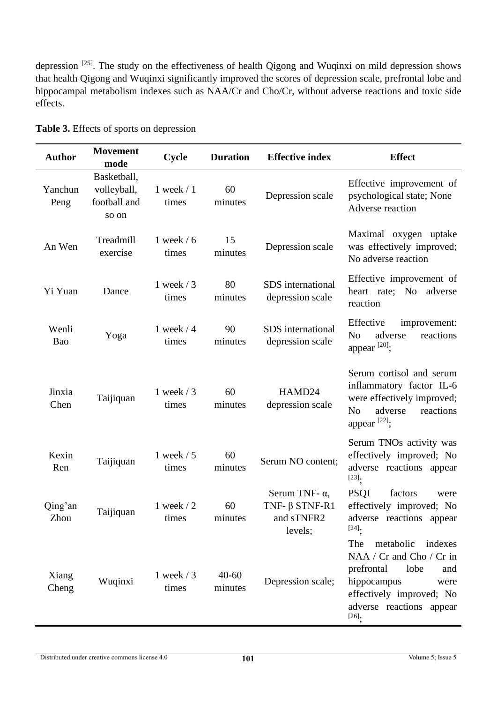depression <sup>[25]</sup>. The study on the effectiveness of health Qigong and Wuqinxi on mild depression shows that health Qigong and Wuqinxi significantly improved the scores of depression scale, prefrontal lobe and hippocampal metabolism indexes such as NAA/Cr and Cho/Cr, without adverse reactions and toxic side effects.

| <b>Author</b>   | <b>Movement</b><br>mode                             | <b>Cycle</b>           | <b>Duration</b>      | <b>Effective index</b>                                                 | <b>Effect</b>                                                                                                                                                                   |
|-----------------|-----------------------------------------------------|------------------------|----------------------|------------------------------------------------------------------------|---------------------------------------------------------------------------------------------------------------------------------------------------------------------------------|
| Yanchun<br>Peng | Basketball,<br>volleyball,<br>football and<br>so on | $1$ week $/1$<br>times | 60<br>minutes        | Depression scale                                                       | Effective improvement of<br>psychological state; None<br>Adverse reaction                                                                                                       |
| An Wen          | Treadmill<br>exercise                               | 1 week $/6$<br>times   | 15<br>minutes        | Depression scale                                                       | Maximal oxygen uptake<br>was effectively improved;<br>No adverse reaction                                                                                                       |
| Yi Yuan         | Dance                                               | 1 week $/3$<br>times   | 80<br>minutes        | SDS international<br>depression scale                                  | Effective improvement of<br>heart rate; No adverse<br>reaction                                                                                                                  |
| Wenli<br>Bao    | Yoga                                                | 1 week $/4$<br>times   | 90<br>minutes        | SDS international<br>depression scale                                  | Effective<br>improvement:<br>reactions<br>N <sub>o</sub><br>adverse<br>appear <sup>[20]</sup> :                                                                                 |
| Jinxia<br>Chen  | Taijiquan                                           | 1 week $/3$<br>times   | 60<br>minutes        | HAMD24<br>depression scale                                             | Serum cortisol and serum<br>inflammatory factor IL-6<br>were effectively improved;<br>N <sub>o</sub><br>adverse<br>reactions<br>appear <sup>[22]</sup> ;                        |
| Kexin<br>Ren    | Taijiquan                                           | 1 week $/ 5$<br>times  | 60<br>minutes        | Serum NO content;                                                      | Serum TNOs activity was<br>effectively improved; No<br>adverse reactions appear<br>$[23]$ .                                                                                     |
| Qing'an<br>Zhou | Taijiquan                                           | 1 week $/2$<br>times   | 60<br>minutes        | Serum TNF- $\alpha$ ,<br>TNF- $\beta$ STNF-R1<br>and sTNFR2<br>levels; | <b>PSQI</b><br>factors<br>were<br>effectively improved; No<br>adverse reactions appear<br>$[24]$ .                                                                              |
| Xiang<br>Cheng  | Wuqinxi                                             | 1 week $/3$<br>times   | $40 - 60$<br>minutes | Depression scale;                                                      | The<br>metabolic<br>indexes<br>NAA / Cr and Cho / Cr in<br>prefrontal<br>lobe<br>and<br>hippocampus<br>were<br>effectively improved; No<br>adverse reactions appear<br>$[26]$ . |

**Table 3.** Effects of sports on depression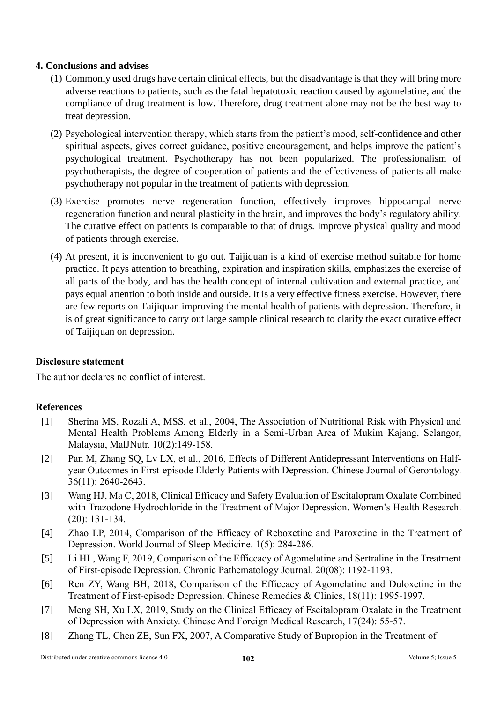#### **4. Conclusions and advises**

- (1) Commonly used drugs have certain clinical effects, but the disadvantage is that they will bring more adverse reactions to patients, such as the fatal hepatotoxic reaction caused by agomelatine, and the compliance of drug treatment is low. Therefore, drug treatment alone may not be the best way to treat depression.
- (2) Psychological intervention therapy, which starts from the patient's mood, self-confidence and other spiritual aspects, gives correct guidance, positive encouragement, and helps improve the patient's psychological treatment. Psychotherapy has not been popularized. The professionalism of psychotherapists, the degree of cooperation of patients and the effectiveness of patients all make psychotherapy not popular in the treatment of patients with depression.
- (3) Exercise promotes nerve regeneration function, effectively improves hippocampal nerve regeneration function and neural plasticity in the brain, and improves the body's regulatory ability. The curative effect on patients is comparable to that of drugs. Improve physical quality and mood of patients through exercise.
- (4) At present, it is inconvenient to go out. Taijiquan is a kind of exercise method suitable for home practice. It pays attention to breathing, expiration and inspiration skills, emphasizes the exercise of all parts of the body, and has the health concept of internal cultivation and external practice, and pays equal attention to both inside and outside. It is a very effective fitness exercise. However, there are few reports on Taijiquan improving the mental health of patients with depression. Therefore, it is of great significance to carry out large sample clinical research to clarify the exact curative effect of Taijiquan on depression.

### **Disclosure statement**

The author declares no conflict of interest.

### **References**

- [1] Sherina MS, Rozali A, MSS, et al., 2004, The Association of Nutritional Risk with Physical and Mental Health Problems Among Elderly in a Semi-Urban Area of Mukim Kajang, Selangor, Malaysia, MalJNutr. 10(2):149-158.
- [2] Pan M, Zhang SQ, Lv LX, et al., 2016, Effects of Different Antidepressant Interventions on Halfyear Outcomes in First-episode Elderly Patients with Depression. Chinese Journal of Gerontology. 36(11): 2640-2643.
- [3] Wang HJ, Ma C, 2018, Clinical Efficacy and Safety Evaluation of Escitalopram Oxalate Combined with Trazodone Hydrochloride in the Treatment of Major Depression. Women's Health Research. (20): 131-134.
- [4] Zhao LP, 2014, Comparison of the Efficacy of Reboxetine and Paroxetine in the Treatment of Depression. World Journal of Sleep Medicine. 1(5): 284-286.
- [5] Li HL, Wang F, 2019, Comparison of the Efficcacy of Agomelatine and Sertraline in the Treatment of First-episode Depression. Chronic Pathematology Journal. 20(08): 1192-1193.
- [6] Ren ZY, Wang BH, 2018, Comparison of the Efficcacy of Agomelatine and Duloxetine in the Treatment of First-episode Depression. Chinese Remedies & Clinics, 18(11): 1995-1997.
- [7] Meng SH, Xu LX, 2019, Study on the Clinical Efficacy of Escitalopram Oxalate in the Treatment of Depression with Anxiety. Chinese And Foreign Medical Research, 17(24): 55-57.
- [8] Zhang TL, Chen ZE, Sun FX, 2007, A Comparative Study of Bupropion in the Treatment of